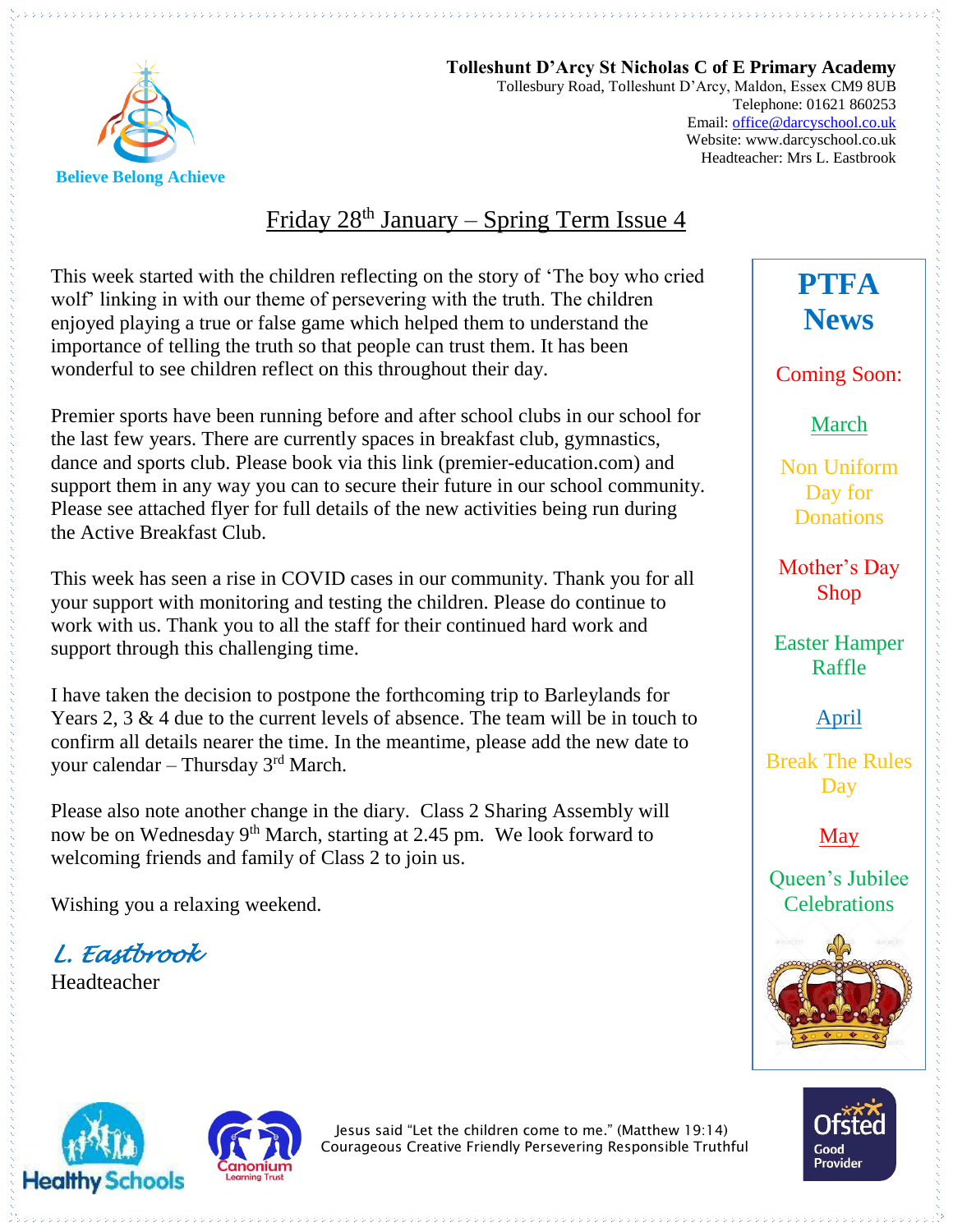

**Tolleshunt D'Arcy St Nicholas C of E Primary Academy** Tollesbury Road, Tolleshunt D'Arcy, Maldon, Essex CM9 8UB Telephone: 01621 860253 Email[: office@darcyschool.co.uk](mailto:office@darcyschool.co.uk) Website: www.darcyschool.co.uk Headteacher: Mrs L. Eastbrook

### Friday 28<sup>th</sup> January – Spring Term Issue 4

This week started with the children reflecting on the story of 'The boy who cried wolf' linking in with our theme of persevering with the truth. The children enjoyed playing a true or false game which helped them to understand the importance of telling the truth so that people can trust them. It has been wonderful to see children reflect on this throughout their day.

Premier sports have been running before and after school clubs in our school for the last few years. There are currently spaces in breakfast club, gymnastics, dance and sports club. Please book via this link (premier-education.com) and support them in any way you can to secure their future in our school community. Please see attached flyer for full details of the new activities being run during the Active Breakfast Club.

This week has seen a rise in COVID cases in our community. Thank you for all your support with monitoring and testing the children. Please do continue to work with us. Thank you to all the staff for their continued hard work and support through this challenging time.

I have taken the decision to postpone the forthcoming trip to Barleylands for Years 2, 3 & 4 due to the current levels of absence. The team will be in touch to confirm all details nearer the time. In the meantime, please add the new date to your calendar – Thursday 3rd March.

Please also note another change in the diary. Class 2 Sharing Assembly will now be on Wednesday 9th March, starting at 2.45 pm. We look forward to welcoming friends and family of Class 2 to join us.

Wishing you a relaxing weekend.

*L. Eastbrook* 

Headteacher

# **PTFA News**

Coming Soon:

March

Non Uniform Day for Donations

Mother's Day Shop

Easter Hamper Raffle

April

Break The Rules Day

May

Queen's Jubilee **Celebrations** 







Jesus said "Let the children come to me." (Matthew 19:14) Courageous Creative Friendly Persevering Responsible Truthful